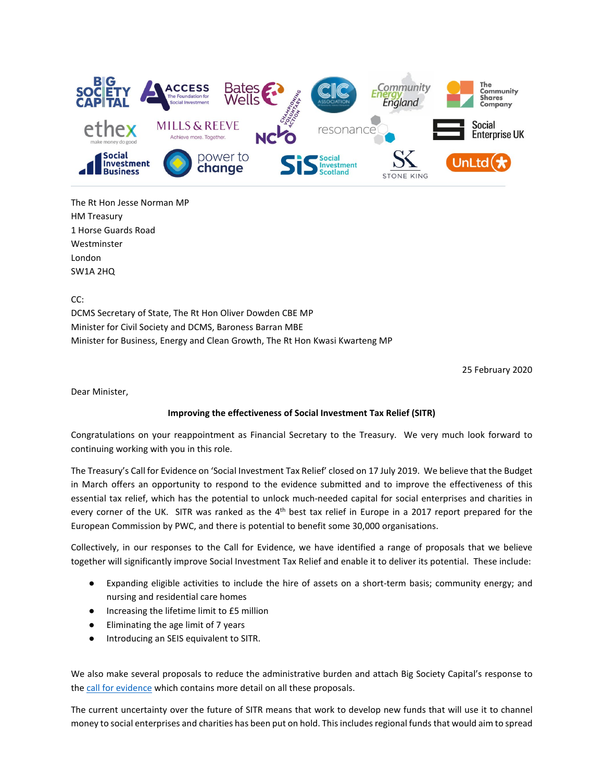

The Rt Hon Jesse Norman MP HM Treasury 1 Horse Guards Road Westminster London SW1A 2HQ

CC:

DCMS Secretary of State, The Rt Hon Oliver Dowden CBE MP Minister for Civil Society and DCMS, Baroness Barran MBE Minister for Business, Energy and Clean Growth, The Rt Hon Kwasi Kwarteng MP

25 February 2020

Dear Minister,

## **Improving the effectiveness of Social Investment Tax Relief (SITR)**

Congratulations on your reappointment as Financial Secretary to the Treasury. We very much look forward to continuing working with you in this role.

The Treasury's Call for Evidence on 'Social Investment Tax Relief' closed on 17 July 2019. We believe that the Budget in March offers an opportunity to respond to the evidence submitted and to improve the effectiveness of this essential tax relief, which has the potential to unlock much-needed capital for social enterprises and charities in every corner of the UK. SITR was ranked as the  $4<sup>th</sup>$  best tax relief in Europe in a 2017 report prepared for the European Commission by PWC, and there is potential to benefit some 30,000 organisations.

Collectively, in our responses to the Call for Evidence, we have identified a range of proposals that we believe together will significantly improve Social Investment Tax Relief and enable it to deliver its potential. These include:

- Expanding eligible activities to include the hire of assets on a short-term basis; community energy; and nursing and residential care homes
- Increasing the lifetime limit to £5 million
- Eliminating the age limit of 7 years
- Introducing an SEIS equivalent to SITR.

We also make several proposals to reduce the administrative burden and attach Big Society Capital's response to th[e](https://getsitr.org.uk/sites/default/files/2020-02/17.07.19-Big-Society-Capital-Response-to-consultation-on-Social-Investment-Tax-Relief-V4.pdf) [call for evidence](https://getsitr.org.uk/sites/default/files/2020-02/17.07.19-Big-Society-Capital-Response-to-consultation-on-Social-Investment-Tax-Relief-V4.pdf) which contains more detail on all these proposals.

The current uncertainty over the future of SITR means that work to develop new funds that will use it to channel money to social enterprises and charities has been put on hold. This includes regional funds that would aim to spread